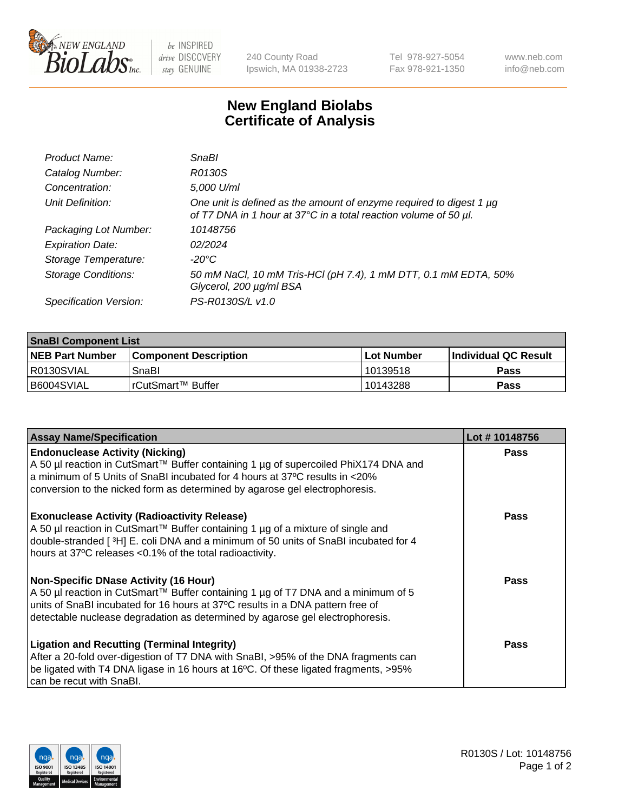

 $be$  INSPIRED drive DISCOVERY stay GENUINE

240 County Road Ipswich, MA 01938-2723 Tel 978-927-5054 Fax 978-921-1350 www.neb.com info@neb.com

## **New England Biolabs Certificate of Analysis**

| Product Name:              | SnaBl                                                                                                                                   |
|----------------------------|-----------------------------------------------------------------------------------------------------------------------------------------|
| Catalog Number:            | R0130S                                                                                                                                  |
| Concentration:             | 5,000 U/ml                                                                                                                              |
| Unit Definition:           | One unit is defined as the amount of enzyme required to digest 1 µg<br>of T7 DNA in 1 hour at 37°C in a total reaction volume of 50 µl. |
| Packaging Lot Number:      | 10148756                                                                                                                                |
| <b>Expiration Date:</b>    | 02/2024                                                                                                                                 |
| Storage Temperature:       | $-20^{\circ}$ C                                                                                                                         |
| <b>Storage Conditions:</b> | 50 mM NaCl, 10 mM Tris-HCl (pH 7.4), 1 mM DTT, 0.1 mM EDTA, 50%<br>Glycerol, 200 µg/ml BSA                                              |
| Specification Version:     | PS-R0130S/L v1.0                                                                                                                        |

| <b>SnaBI Component List</b> |                              |              |                       |  |
|-----------------------------|------------------------------|--------------|-----------------------|--|
| <b>NEB Part Number</b>      | <b>Component Description</b> | l Lot Number | ∣Individual QC Result |  |
| R0130SVIAL                  | SnaBl                        | l 10139518   | Pass                  |  |
| B6004SVIAL                  | l rCutSmart™ Buffer          | 10143288     | Pass                  |  |

| <b>Assay Name/Specification</b>                                                                                                                                                                                                                                                                      | Lot #10148756 |
|------------------------------------------------------------------------------------------------------------------------------------------------------------------------------------------------------------------------------------------------------------------------------------------------------|---------------|
| <b>Endonuclease Activity (Nicking)</b><br>A 50 µl reaction in CutSmart™ Buffer containing 1 µg of supercoiled PhiX174 DNA and<br>a minimum of 5 Units of SnaBI incubated for 4 hours at 37°C results in <20%<br>conversion to the nicked form as determined by agarose gel electrophoresis.          | Pass          |
| <b>Exonuclease Activity (Radioactivity Release)</b><br>A 50 µl reaction in CutSmart™ Buffer containing 1 µg of a mixture of single and<br>double-stranded [3H] E. coli DNA and a minimum of 50 units of SnaBl incubated for 4<br>hours at 37°C releases <0.1% of the total radioactivity.            | <b>Pass</b>   |
| <b>Non-Specific DNase Activity (16 Hour)</b><br>A 50 µl reaction in CutSmart™ Buffer containing 1 µg of T7 DNA and a minimum of 5<br>units of SnaBI incubated for 16 hours at 37°C results in a DNA pattern free of<br>detectable nuclease degradation as determined by agarose gel electrophoresis. | <b>Pass</b>   |
| <b>Ligation and Recutting (Terminal Integrity)</b><br>After a 20-fold over-digestion of T7 DNA with SnaBI, >95% of the DNA fragments can<br>be ligated with T4 DNA ligase in 16 hours at 16°C. Of these ligated fragments, >95%<br>can be recut with SnaBl.                                          | Pass          |